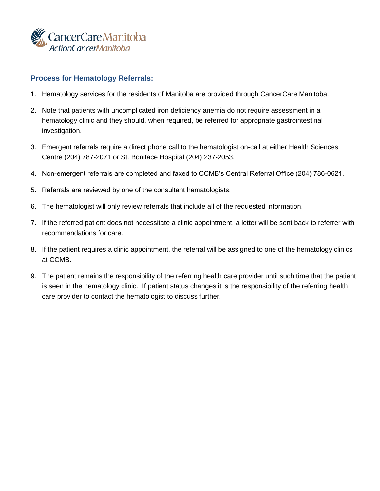

### **Process for Hematology Referrals:**

- 1. Hematology services for the residents of Manitoba are provided through CancerCare Manitoba.
- 2. Note that patients with uncomplicated iron deficiency anemia do not require assessment in a hematology clinic and they should, when required, be referred for appropriate gastrointestinal investigation.
- 3. Emergent referrals require a direct phone call to the hematologist on-call at either Health Sciences Centre (204) 787-2071 or St. Boniface Hospital (204) 237-2053.
- 4. Non-emergent referrals are completed and faxed to CCMB's Central Referral Office (204) 786-0621.
- 5. Referrals are reviewed by one of the consultant hematologists.
- 6. The hematologist will only review referrals that include all of the requested information.
- 7. If the referred patient does not necessitate a clinic appointment, a letter will be sent back to referrer with recommendations for care.
- 8. If the patient requires a clinic appointment, the referral will be assigned to one of the hematology clinics at CCMB.
- 9. The patient remains the responsibility of the referring health care provider until such time that the patient is seen in the hematology clinic. If patient status changes it is the responsibility of the referring health care provider to contact the hematologist to discuss further.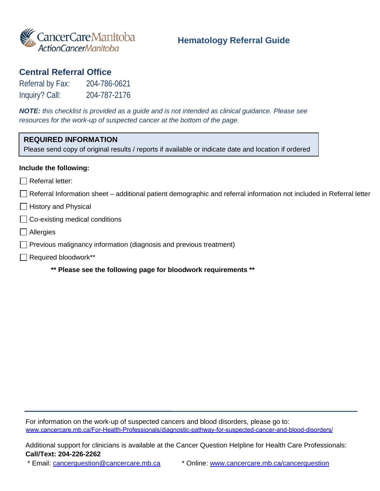

### **Hematology Referral Guide**

## **Central Referral Office**

Referral by Fax: 204-786-0621 Inquiry? Call: 204-787-2176

*NOTE: this checklist is provided as a guide and is not intended as clinical guidance. Please see resources for the work-up of suspected cancer at the bottom of the page.*

## **REQUIRED INFORMATION**

Please send copy of original results / reports if available or indicate date and location if ordered

#### **Include the following:**

- $\Box$  Referral letter:
- $\Box$  Referral Information sheet additional patient demographic and referral information not included in Referral letter
- $\Box$  History and Physical
- $\Box$  Co-existing medical conditions
- **□** Allergies
- $\Box$  Previous malignancy information (diagnosis and previous treatment)
- Required bloodwork\*\*
	- **\*\* Please see the following page for bloodwork requirements \*\***

For information on the work-up of suspected cancers and blood disorders, please go to: <www.cancercare.mb.ca/For-Health-Professionals/diagnostic-pathway-for-suspected-cancer-and-blood-disorders/>

Additional support for clinicians is available at the Cancer Question Helpline for Health Care Professionals: **Call/Text: 204-226-2262** 

\* Email: [cancerquestion@cancercare.mb.ca](mailto:cancerquestion@cancercare.mb.ca) \* Online: [www.cancercare.mb.ca/cancerquestion](http://www.cancercare.mb.ca/cancerquestion)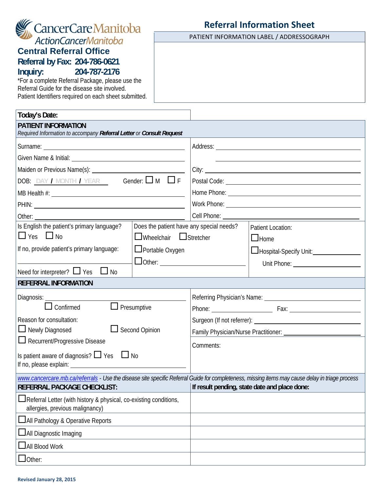| <b>Central Referral Office</b>                                                                                                                  |                                          |                               |                                                           |
|-------------------------------------------------------------------------------------------------------------------------------------------------|------------------------------------------|-------------------------------|-----------------------------------------------------------|
| Referral by Fax: 204-786-0621                                                                                                                   |                                          |                               |                                                           |
| Inquiry:<br>204-787-2176                                                                                                                        |                                          |                               |                                                           |
| *For a complete Referral Package, please use the<br>Referral Guide for the disease site involved.                                               |                                          |                               |                                                           |
| Patient Identifiers required on each sheet submitted.                                                                                           |                                          |                               |                                                           |
|                                                                                                                                                 |                                          |                               |                                                           |
| Today's Date:                                                                                                                                   |                                          |                               |                                                           |
| <b>PATIENT INFORMATION</b><br>Required Information to accompany Referral Letter or Consult Request                                              |                                          |                               |                                                           |
|                                                                                                                                                 |                                          |                               |                                                           |
|                                                                                                                                                 |                                          |                               |                                                           |
|                                                                                                                                                 |                                          |                               |                                                           |
| DOB: $\frac{DAY}{I}$ MONTH / YEAR Gender: $\Box$ M $\Box$ F                                                                                     |                                          |                               |                                                           |
|                                                                                                                                                 |                                          |                               |                                                           |
| PHIN: <u>Contract Communication</u>                                                                                                             |                                          |                               |                                                           |
|                                                                                                                                                 |                                          | Cell Phone: <u>Cell Phone</u> |                                                           |
| Is English the patient's primary language?                                                                                                      | Does the patient have any special needs? |                               | <b>Patient Location:</b>                                  |
| $\Box$ Yes $\Box$ No                                                                                                                            | $\Box$ Wheelchair $\Box$ Stretcher       |                               | $\Box$ Home                                               |
| If no, provide patient's primary language:<br>□ Portable Oxygen                                                                                 |                                          |                               | Hospital-Specify Unit:<br><u>L</u> Hospital-Specify Unit: |
| $\Box$ Other: $\_\_$                                                                                                                            |                                          |                               |                                                           |
| Need for interpreter? $\Box$ Yes<br>No                                                                                                          |                                          |                               |                                                           |
| <b>REFERRAL INFORMATION</b>                                                                                                                     |                                          |                               |                                                           |
| Diagnosis: <u>_____________</u>                                                                                                                 |                                          |                               |                                                           |
| $\Box$ Presumptive<br>Confirmed                                                                                                                 |                                          |                               |                                                           |
| Reason for consultation:                                                                                                                        |                                          |                               |                                                           |
| $\Box$ Newly Diagnosed<br>Second Opinion                                                                                                        |                                          |                               |                                                           |
| $\Box$ Recurrent/Progressive Disease                                                                                                            |                                          | Comments:                     |                                                           |
| Is patient aware of diagnosis? $\Box$ Yes $\Box$ No                                                                                             |                                          |                               |                                                           |
|                                                                                                                                                 |                                          |                               |                                                           |
| www.cancercare.mb.ca/referrals - Use the disease site specific Referral Guide for completeness, missing items may cause delay in triage process |                                          |                               |                                                           |
| REFERRAL PACKAGE CHECKLIST:                                                                                                                     |                                          |                               | If result pending, state date and place done:             |
| Referral Letter (with history & physical, co-existing conditions,<br>allergies, previous malignancy)                                            |                                          |                               |                                                           |
| <b>LAII</b> Pathology & Operative Reports                                                                                                       |                                          |                               |                                                           |
| $\Box$ All Diagnostic Imaging                                                                                                                   |                                          |                               |                                                           |
| <b>LAII Blood Work</b>                                                                                                                          |                                          |                               |                                                           |
| $\Box$ Other:                                                                                                                                   |                                          |                               |                                                           |
|                                                                                                                                                 |                                          |                               |                                                           |

# **Referral Information Sheet** PATIENT INFORMATION LABEL / ADDRESSOGRAPH

**Revised January 28, 2015**

CancerCareManitoba